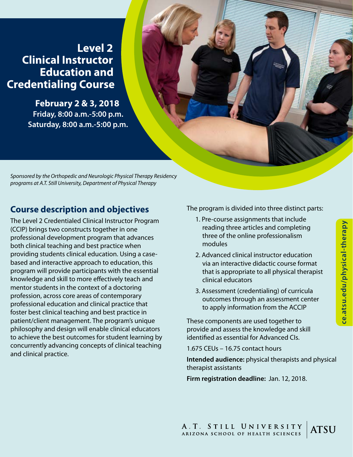# **Level 2 Clinical Instructor Education and Credentialing Course**

**February 2 & 3, 2018 Friday, 8:00 a.m.-5:00 p.m. Saturday, 8:00 a.m.-5:00 p.m.**

*Sponsored by the Orthopedic and Neurologic Physical Therapy Residency programs at A.T. Still University, Department of Physical Therapy*

# **Course description and objectives**

The Level 2 Credentialed Clinical Instructor Program (CCIP) brings two constructs together in one professional development program that advances both clinical teaching and best practice when providing students clinical education. Using a casebased and interactive approach to education, this program will provide participants with the essential knowledge and skill to more effectively teach and mentor students in the context of a doctoring profession, across core areas of contemporary professional education and clinical practice that foster best clinical teaching and best practice in patient/client management. The program's unique philosophy and design will enable clinical educators to achieve the best outcomes for student learning by concurrently advancing concepts of clinical teaching and clinical practice.

The program is divided into three distinct parts:

- 1. Pre-course assignments that include reading three articles and completing three of the online professionalism modules
- 2. Advanced clinical instructor education via an interactive didactic course format that is appropriate to all physical therapist clinical educators
- 3. Assessment (credentialing) of curricula outcomes through an assessment center to apply information from the ACCIP

These components are used together to provide and assess the knowledge and skill identified as essential for Advanced CIs.

1.675 CEUs – 16.75 contact hours

**Intended audience:** physical therapists and physical therapist assistants

**Firm registration deadline:** Jan. 12, 2018.